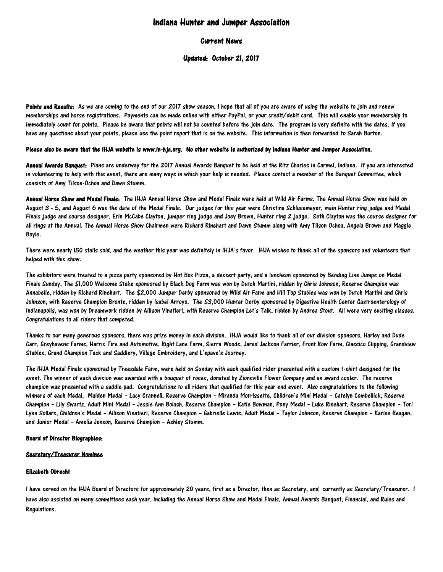# Indiana Hunter and Jumper Association

# Current News

# Updated: October 21, 2017

Points and Results: As we are coming to the end of our 2017 show season, I hope that all of you are aware of using the website to join and renew memberships and horse registrations. Payments can be made online with either PayPal, or your credit/debit card. This will enable your membership to immediately count for points. Please be aware that points will not be counted before the join date. The program is very definite with the dates. If you have any questions about your points, please use the point report that is on the website. This information is then forwarded to Sarah Burton.

# Please also be aware that the IHJA website is [www.in-hja.org.](http://www.in-hja.org/) No other website is authorized by Indiana Hunter and Jumper Association.

Annual Awards Banquet: Plans are underway for the 2017 Annual Awards Banquet to be held at the Ritz Charles in Carmel, Indiana. If you are interested in volunteering to help with this event, there are many ways in which your help is needed. Please contact a member of the Banquet Committee, which consists of Amy Tilson-Ochoa and Dawn Stumm.

Annual Horse Show and Medal Finals: The IHJA Annual Horse Show and Medal Finals were held at Wild Air Farms. The Annual Horse Show was held on August 3 - 5, and August 6 was the date of the Medal Finals. Our judges for this year were Christina Schlusemeyer, main Hunter ring judge and Medal Finals judge and course designer, Erin McCabe Clayton, jumper ring judge and Joey Brown, Hunter ring 2 judge. Seth Clayton was the course designer for all rings at the Annual. The Annual Horse Show Chairmen were Richard Rinehart and Dawn Stumm along with Amy Tilson Ochoa, Angela Brown and Maggie Boyle.

There were nearly 150 stalls sold, and the weather this year was definitely in IHJA's favor. IHJA wishes to thank all of the sponsors and volunteers that helped with this show.

The exhibitors were treated to a pizza party sponsored by Hot Box Pizza, a dessert party, and a luncheon sponsored by Bending Line Jumps on Medal Finals Sunday. The \$1,000 Welcome Stake sponsored by Black Dog Farm was won by Dutch Martini, ridden by Chris Johnson, Reserve Champion was Annabelle, ridden by Richard Rinehart. The \$2,000 Jumper Derby sponsored by Wild Air Farm and Hill Top Stables was won by Dutch Martini and Chris Johnson, with Reserve Champion Bronte, ridden by Isabel Arroyo. The \$3,000 Hunter Derby sponsored by Digestive Health Center Gastroenterology of Indianapolis, was won by Dreamwork ridden by Allison Vinatieri, with Reserve Champion Let's Talk, ridden by Andrea Stout. All were very exciting classes. Congratulations to all riders that competed.

Thanks to our many generous sponsors, there was prize money in each division. IHJA would like to thank all of our division sponsors, Harley and Dude Carr, Greyhavens Farms, Harris Tire and Automotive, Right Lane Farm, Sierra Woods, Jared Jackson Farrier, Front Row Farm, Classico Clipping, Grandview Stables, Grand Champion Tack and Saddlery, Village Embroidery, and L'epave's Journey.

The IHJA Medal Finals sponsored by Treesdale Farm, were held on Sunday with each qualified rider presented with a custom t-shirt designed for the event. The winner of each division was awarded with a bouquet of roses, donated by Zionsville Flower Company and an award cooler. The reserve champion was presented with a saddle pad. Congratulations to all riders that qualified for this year end event. Also congratulations to the following winners of each Medal. Maiden Medal – Lacy Crannell, Reserve Champion – Miranda Morrissette, Children's Mini Medal – Catelyn Combellick, Reserve Champion – Lily Swartz, Adult Mini Medal – Jessie Ann Bolash, Reserve Champion – Katie Bowman, Pony Medal – Luke Rinehart, Reserve Champion – Tori Lynn Sollars, Children's Medal – Allison Vinatieri, Reserve Champion – Gabrielle Lewis, Adult Medal – Taylor Johnson, Reserve Champion – Karlee Reagan, and Junior Medal – Amelia Jenson, Reserve Champion – Ashley Stumm.

# Board of Director Biographies:

# Secretary/Treasurer Nominee

# Elizabeth Obrecht

I have served on the IHJA Board of Directors for approximately 20 years, first as a Director, then as Secretary, and currently as Secretary/Treasurer. I have also assisted on many committees each year, including the Annual Horse Show and Medal Finals, Annual Awards Banquet, Financial, and Rules and Regulations.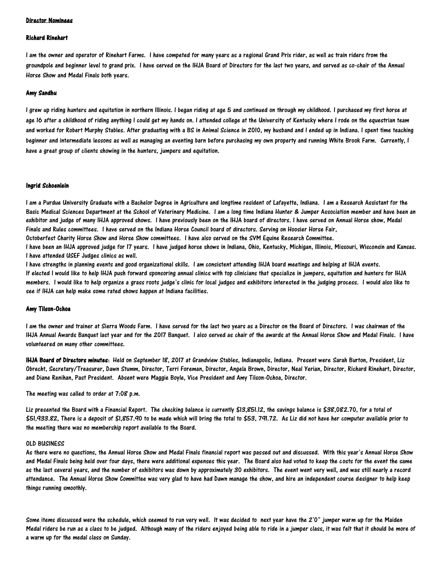#### Director Nominees

#### Richard Rinehart

I am the owner and operator of Rinehart Farms. I have competed for many years as a regional Grand Prix rider, as well as train riders from the groundpole and beginner level to grand prix. I have served on the IHJA Board of Directors for the last two years, and served as co-chair of the Annual Horse Show and Medal Finals both years.

#### Amy Sandhu

I grew up riding hunters and equitation in northern Illinois. I began riding at age 5 and continued on through my childhood. I purchased my first horse at age 16 after a childhood of riding anything I could get my hands on. I attended college at the University of Kentucky where I rode on the equestrian team and worked for Robert Murphy Stables. After graduating with a BS in Animal Science in 2010, my husband and I ended up in Indiana. I spent time teaching beginner and intermediate lessons as well as managing an eventing barn before purchasing my own property and running White Brook Farm. Currently, I have a great group of clients showing in the hunters, jumpers and equitation.

#### Ingrid Schoenlein

I am a Purdue University Graduate with a Bachelor Degree in Agriculture and longtime resident of Lafayette, Indiana. I am a Research Assistant for the Basic Medical Sciences Department at the School of Veterinary Medicine. I am a long time Indiana Hunter & Jumper Association member and have been an exhibitor and judge of many IHJA approved shows. I have previously been on the IHJA board of directors. I have served on Annual Horse show, Medal Finals and Rules committees. I have served on the Indiana Horse Council board of directors. Serving on Hoosier Horse Fair,

Octoberfest Charity Horse Show and Horse Show committees. I have also served on the SVM Equine Research Committee.

I have been an IHJA approved judge for 17 years. I have judged horse shows in Indiana, Ohio, Kentucky, Michigan, Illinois, Missouri, Wisconsin and Kansas. I have attended USEF Judges clinics as well.

I have strengths in planning events and good organizational skills. I am consistent attending IHJA board meetings and helping at IHJA events. If elected I would like to help IHJA push forward sponsoring annual clinics with top clinicians that specialize in jumpers, equitation and hunters for IHJA members. I would like to help organize a grass roots judge's clinic for local judges and exhibitors interested in the judging process. I would also like to see if IHJA can help make some rated shows happen at Indiana facilities.

### Amy Tilson-Ochoa

I am the owner and trainer at Sierra Woods Farm. I have served for the last two years as a Director on the Board of Directors. I was chairman of the IHJA Annual Awards Banquet last year and for the 2017 Banquet. I also served as chair of the awards at the Annual Horse Show and Medal Finals. I have volunteered on many other committees.

IHJA Board of Directors minutes: Held on September 18, 2017 at Grandview Stables, Indianapolis, Indiana. Present were Sarah Burton, President, Liz Obrecht, Secretary/Treasurer, Dawn Stumm, Director, Terri Foreman, Director, Angela Brown, Director, Neal Yerian, Director, Richard Rinehart, Director, and Diane Renihan, Past President. Absent were Maggie Boyle, Vice President and Amy Tilson-Ochoa, Director.

The meeting was called to order at 7:08 p.m.

Liz presented the Board with a Financial Report. The checking balance is currently \$13,851.12, the savings balance is \$38,082.70, for a total of \$51,933.82, There is a deposit of \$1,857.90 to be made which will bring the total to \$53, 791.72. As Liz did not have her computer available prior to the meeting there was no membership report available to the Board.

### OLD BUSINESS

As there were no questions, the Annual Horse Show and Medal Finals financial report was passed out and discussed. With this year's Annual Horse Show and Medal Finals being held over four days, there were additional expenses this year. The Board also had voted to keep the costs for the event the same as the last several years, and the number of exhibitors was down by approximately 30 exhibitors. The event went very well, and was still nearly a record attendance. The Annual Horse Show Committee was very glad to have had Dawn manage the show, and hire an independent course designer to help keep things running smoothly.

Some items discussed were the schedule, which seemed to run very well. It was decided to next year have the 2'0" jumper warm up for the Maiden Medal riders be run as a class to be judged. Although many of the riders enjoyed being able to ride in a jumper class, it was felt that it should be more of a warm up for the medal class on Sunday.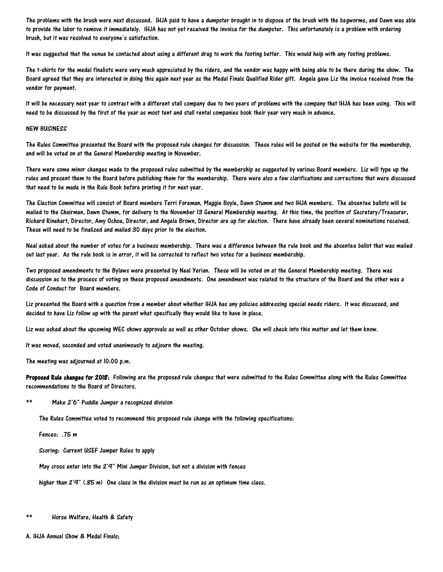The problems with the brush were next discussed. IHJA paid to have a dumpster brought in to dispose of the brush with the bagworms, and Dawn was able to provide the labor to remove it immediately. IHJA has not yet received the invoice for the dumpster. This unfortunately is a problem with ordering brush, but it was resolved to everyone's satisfaction.

It was suggested that the venue be contacted about using a different drag to work the footing better. This would help with any footing problems.

The t-shirts for the medal finalists were very much appreciated by the riders, and the vendor was happy with being able to be there during the show. The Board agreed that they are interested in doing this again next year as the Medal Finals Qualified Rider gift. Angela gave Liz the invoice received from the vendor for payment.

It will be necessary next year to contract with a different stall company due to two years of problems with the company that IHJA has been using. This will need to be discussed by the first of the year as most tent and stall rental companies book their year very much in advance.

### NEW BUSINESS

The Rules Committee presented the Board with the proposed rule changes for discussion. These rules will be posted on the website for the membership, and will be voted on at the General Membership meeting in November.

There were some minor changes made to the proposed rules submitted by the membership as suggested by various Board members. Liz will type up the rules and present them to the Board before publishing them for the membership. There were also a few clarifications and corrections that were discussed that need to be made in the Rule Book before printing it for next year.

The Election Committee will consist of Board members Terri Foreman, Maggie Boyle, Dawn Stumm and two IHJA members. The absentee ballots will be mailed to the Chairman, Dawn Stumm, for delivery to the November 13 General Membership meeting. At this time, the position of Secretary/Treasurer, Richard Rinehart, Director, Amy Ochoa, Director, and Angela Brown, Director are up for election. There have already been several nominations received. These will need to be finalized and mailed 30 days prior to the election.

Neal asked about the number of votes for a business membership. There was a difference between the rule book and the absentee ballot that was mailed out last year. As the rule book is in error, it will be corrected to reflect two votes for a business membership.

Two proposed amendments to the Bylaws were presented by Neal Yerian. These will be voted on at the General Membership meeting. There was discussion as to the process of voting on these proposed amendments. One amendment was related to the structure of the Board and the other was a Code of Conduct for Board members.

Liz presented the Board with a question from a member about whether IHJA has any policies addressing special needs riders. It was discussed, and decided to have Liz follow up with the parent what specifically they would like to have in place.

Liz was asked about the upcoming WEC shows approvals as well as other October shows. She will check into this matter and let them know.

It was moved, seconded and voted unanimously to adjourn the meeting.

The meeting was adjourned at 10:00 p.m.

Proposed Rule changes for 2018: Following are the proposed rule changes that were submitted to the Rules Committee along with the Rules Committee recommendations to the Board of Directors.

\*\* Make 2'6" Puddle Jumper a recognized division

The Rules Committee voted to recommend this proposed rule change with the following specifications:

Fences: .75 m

Scoring: Current USEF Jumper Rules to apply

May cross enter into the 2'9" Mini Jumper Division, but not a division with fences

higher than 2'9" (.85 m) One class in the division must be run as an optimum time class.

Horse Welfare, Health & Safety

A. IHJA Annual Show & Medal Finals;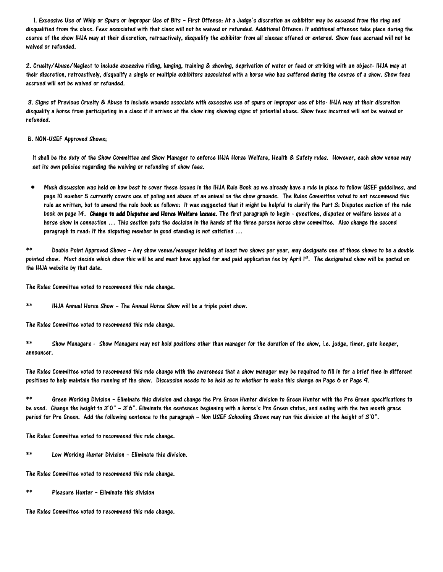1. Excessive Use of Whip or Spurs or Improper Use of Bits – First Offense: At a Judge's discretion an exhibitor may be excused from the ring and disqualified from the class. Fees associated with that class will not be waived or refunded. Additional Offense: If additional offenses take place during the course of the show IHJA may at their discretion, retroactively, disqualify the exhibitor from all classes offered or entered. Show fees accrued will not be waived or refunded.

2. Cruelty/Abuse/Neglect to include excessive riding, lunging, training & showing, deprivation of water or feed or striking with an object- IHJA may at their discretion, retroactively, disqualify a single or multiple exhibitors associated with a horse who has suffered during the course of a show. Show fees accrued will not be waived or refunded.

3. Signs of Previous Cruelty & Abuse to include wounds associate with excessive use of spurs or improper use of bits- IHJA may at their discretion disqualify a horse from participating in a class if it arrives at the show ring showing signs of potential abuse. Show fees incurred will not be waived or refunded.

### B. NON-USEF Approved Shows;

It shall be the duty of the Show Committee and Show Manager to enforce IHJA Horse Welfare, Health & Safety rules. However, each show venue may set its own policies regarding the waiving or refunding of show fees.

 Much discussion was held on how best to cover these issues in the IHJA Rule Book as we already have a rule in place to follow USEF guidelines, and page 10 number 5 currently covers use of poling and abuse of an animal on the show grounds. The Rules Committee voted to not recommend this rule as written, but to amend the rule book as follows: It was suggested that it might be helpful to clarify the Part 3: Disputes section of the rule book on page 14. Change to add Disputes and Horse Welfare Issues. The first paragraph to begin - questions, disputes or welfare issues at a horse show in connection … This section puts the decision in the hands of the three person horse show committee. Also change the second paragraph to read: If the disputing member in good standing is not satisfied …

\*\* Double Point Approved Shows – Any show venue/manager holding at least two shows per year, may designate one of those shows to be a double pointed show. Must decide which show this will be and must have applied for and paid application fee by April 1st. The designated show will be posted on the IHJA website by that date.

The Rules Committee voted to recommend this rule change.

\*\* IHJA Annual Horse Show – The Annual Horse Show will be a triple point show.

The Rules Committee voted to recommend this rule change.

\*\* Show Managers - Show Managers may not hold positions other than manager for the duration of the show, i.e. judge, timer, gate keeper, announcer.

The Rules Committee voted to recommend this rule change with the awareness that a show manager may be required to fill in for a brief time in different positions to help maintain the running of the show. Discussion needs to be held as to whether to make this change on Page 6 or Page 9.

\*\* Green Working Division – Eliminate this division and change the Pre Green Hunter division to Green Hunter with the Pre Green specifications to be used. Change the height to 3'0" – 3'6". Eliminate the sentences beginning with a horse's Pre Green status, and ending with the two month grace period for Pre Green. Add the following sentence to the paragraph – Non USEF Schooling Shows may run this division at the height of 3'0".

The Rules Committee voted to recommend this rule change.

Low Working Hunter Division – Eliminate this division.

The Rules Committee voted to recommend this rule change.

\*\* Pleasure Hunter – Eliminate this division

The Rules Committee voted to recommend this rule change.